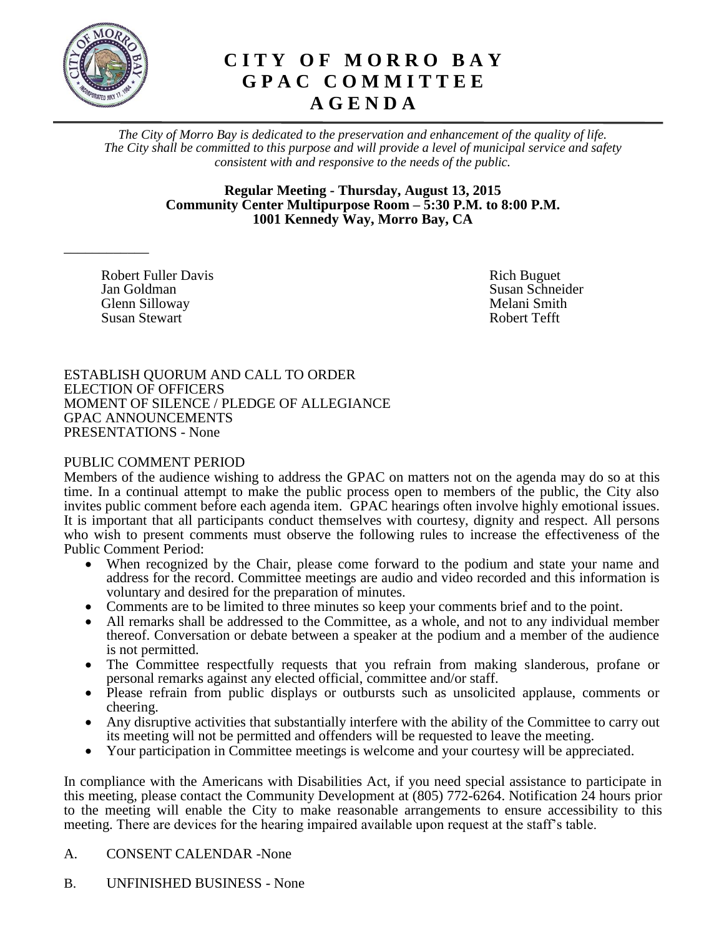

\_\_\_\_\_\_\_\_\_\_\_\_

# **C I T Y O F M O R R O B A Y G P A C C O M M I T T E E A G E N D A**

*The City of Morro Bay is dedicated to the preservation and enhancement of the quality of life. The City shall be committed to this purpose and will provide a level of municipal service and safety consistent with and responsive to the needs of the public.*

> **Regular Meeting - Thursday, August 13, 2015 Community Center Multipurpose Room – 5:30 P.M. to 8:00 P.M. 1001 Kennedy Way, Morro Bay, CA**

Robert Fuller DavisRich Buguet **Jan Goldman** Susan Schneider Susan Schneider Glenn Silloway **Melani** Smith Susan Stewart **Robert Tefft** 

ESTABLISH QUORUM AND CALL TO ORDER ELECTION OF OFFICERS MOMENT OF SILENCE / PLEDGE OF ALLEGIANCE GPAC ANNOUNCEMENTS PRESENTATIONS - None

## PUBLIC COMMENT PERIOD

Members of the audience wishing to address the GPAC on matters not on the agenda may do so at this time. In a continual attempt to make the public process open to members of the public, the City also invites public comment before each agenda item. GPAC hearings often involve highly emotional issues. It is important that all participants conduct themselves with courtesy, dignity and respect. All persons who wish to present comments must observe the following rules to increase the effectiveness of the Public Comment Period:

- When recognized by the Chair, please come forward to the podium and state your name and address for the record. Committee meetings are audio and video recorded and this information is voluntary and desired for the preparation of minutes.
- Comments are to be limited to three minutes so keep your comments brief and to the point.
- All remarks shall be addressed to the Committee, as a whole, and not to any individual member thereof. Conversation or debate between a speaker at the podium and a member of the audience is not permitted.
- The Committee respectfully requests that you refrain from making slanderous, profane or personal remarks against any elected official, committee and/or staff.
- Please refrain from public displays or outbursts such as unsolicited applause, comments or cheering.
- Any disruptive activities that substantially interfere with the ability of the Committee to carry out its meeting will not be permitted and offenders will be requested to leave the meeting.
- Your participation in Committee meetings is welcome and your courtesy will be appreciated.

In compliance with the Americans with Disabilities Act, if you need special assistance to participate in this meeting, please contact the Community Development at (805) 772-6264. Notification 24 hours prior to the meeting will enable the City to make reasonable arrangements to ensure accessibility to this meeting. There are devices for the hearing impaired available upon request at the staff's table.

## A. CONSENT CALENDAR -None

B. UNFINISHED BUSINESS - None